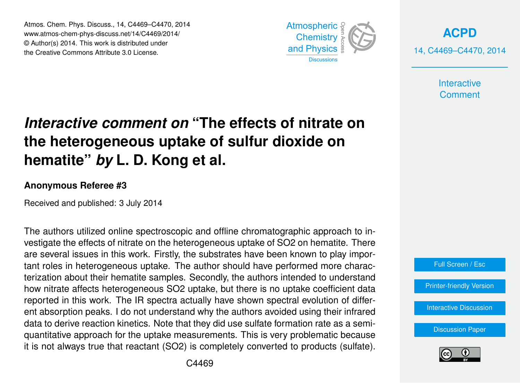Atmos. Chem. Phys. Discuss., 14, C4469–C4470, 2014 www.atmos-chem-phys-discuss.net/14/C4469/2014/ © Author(s) 2014. This work is distributed under the Creative Commons Attribute 3.0 License.



**[ACPD](http://www.atmos-chem-phys-discuss.net)** 14, C4469–C4470, 2014

> **Interactive Comment**

## *Interactive comment on* **"The effects of nitrate on the heterogeneous uptake of sulfur dioxide on hematite"** *by* **L. D. Kong et al.**

## **Anonymous Referee #3**

Received and published: 3 July 2014

The authors utilized online spectroscopic and offline chromatographic approach to investigate the effects of nitrate on the heterogeneous uptake of SO2 on hematite. There are several issues in this work. Firstly, the substrates have been known to play important roles in heterogeneous uptake. The author should have performed more characterization about their hematite samples. Secondly, the authors intended to understand how nitrate affects heterogeneous SO2 uptake, but there is no uptake coefficient data reported in this work. The IR spectra actually have shown spectral evolution of different absorption peaks. I do not understand why the authors avoided using their infrared data to derive reaction kinetics. Note that they did use sulfate formation rate as a semiquantitative approach for the uptake measurements. This is very problematic because it is not always true that reactant (SO2) is completely converted to products (sulfate).